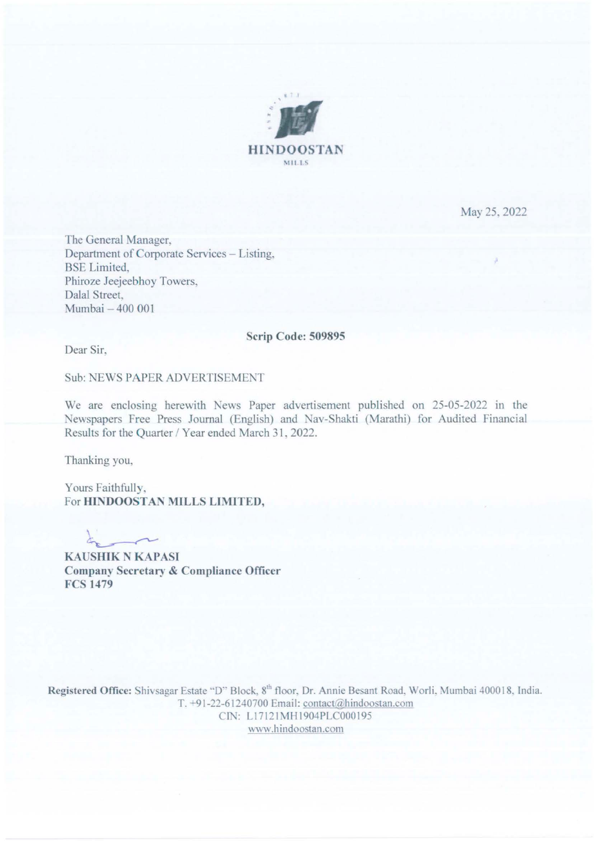

May 25. 2022

The General Manager. Department of Corporate Services - Listing, BSE Limited. Phiroze Jeejeebhoy Towers, Dalal Street. Mumbai - 400 001

## Scrip Code: 509895

Dear Sir.

Sub: NEWS PAPER ADVERTISEMENT

We are enclosing herewith News Paper advertisement published on 25-05-2022 in the Newspapers Free Press Journal (English) and Nav-Shakti (Marathi) for Audited Financial Results for the Quarter / Year ended March 31, 2022.

Thanking you,

Yours Faithfully, For HINDOOSTAN MILLS LIMITED,

 $\lambda$ 

KAUSHIK N KAPASI Company Secretary & Compliance Officer FCS 1479

Registered Office: Shivsagar Estate "D" Block, 8<sup>th</sup> floor, Dr. Annie Besant Road, Worli, Mumbai 400018, India. T. -91-22-61240700 Email: contact *a* hindoostan.com CIN: L17121MH1904PLC000195 "''w.hindoostan.com